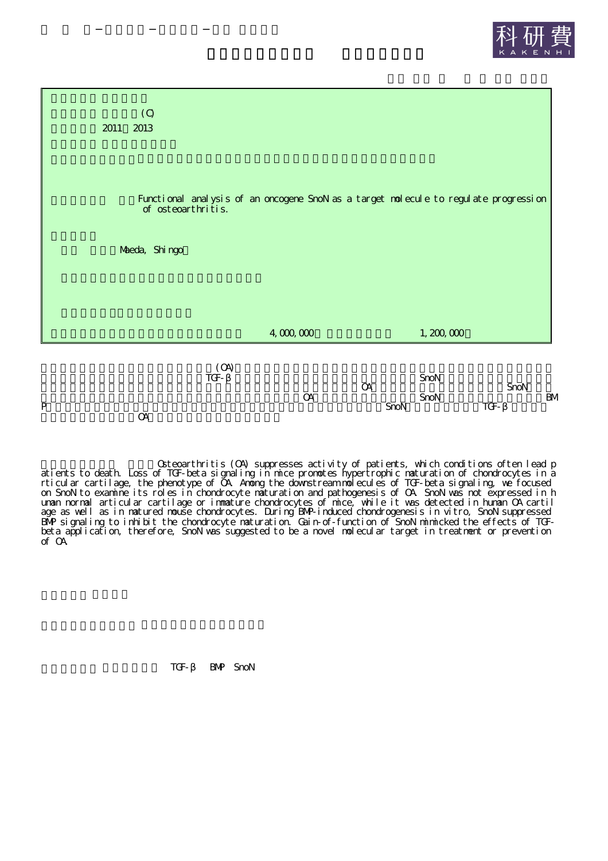



Osteoarthritis (OA) suppresses activity of patients, which conditions often lead p atients to death. Loss of TGF-beta signaling in mice promotes hypertrophic maturation of chondrocytes in a rticular cartilage, the phenotype of OA. Among the downstream molecules of TGF-beta signaling, we focused on SnoN to examine its roles in chondrocyte maturation and pathogenesis of OA. SnoN was not expressed in h uman normal articular cartilage or immature chondrocytes of mice, while it was detected in human OA cartil age as well as in matured mouse chondrocytes. During BMP-induced chondrogenesis in vitro, SnoN suppressed BMP signaling to inhibit the chondrocyte maturation. Gain-of-function of SnoN mimicked the effects of TGFbeta application, therefore, SnoN was suggested to be a novel molecular target in treatment or prevention of OA.

TGF- BMP SnoN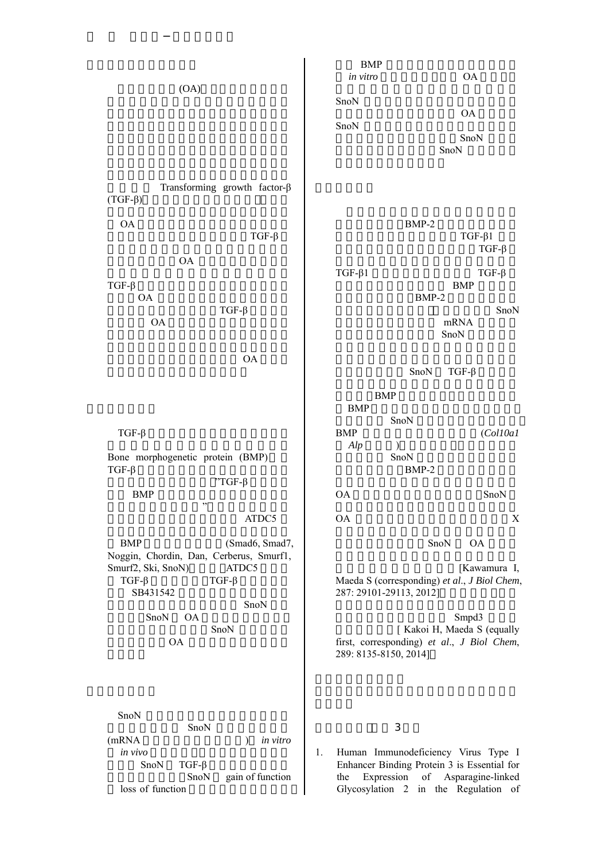(OA) Transforming growth factor-β (TGF-β) OA TGF-β OA TGF-β OA TGF-β OA OA TGF-β Bone morphogenetic protein (BMP) TGF-β "TGF-β BMP " ATDC5 BMP (Smad6, Smad7, Noggin, Chordin, Dan, Cerberus, Smurf1, Smurf2, Ski, SnoN) ATDC5 TGF-β TGF-β SB431542 SnoN SnoN OA SnoN OA SnoN SnoN (mRNA ) *in vitro in vivo* SnoN TGF-β SnoN gain of function loss of function BMP *in vitro* OA SnoN OA SnoN SnoN SnoN BMP-2 TGF-β1 TGF-β TGF-β1 TGF-β BMP BMP-2 SnoN mRNA SnoN SnoN TGF-β BMP BMP SnoN BMP (*Col10a1 Alp* ) SnoN BMP-2 OA SnoN OA X SnoN OA [Kawamura I, Maeda S (corresponding) *et al*., *J Biol Chem*, 287: 29101-29113, 2012] Smpd3 [ Kakoi H, Maeda S (equally first, corresponding) *et al*., *J Biol Chem*, 289: 8135-8150, 2014] 3 1. Human Immunodeficiency Virus Type I Enhancer Binding Protein 3 is Essential for the Expression of Asparagine-linked Glycosylation 2 in the Regulation of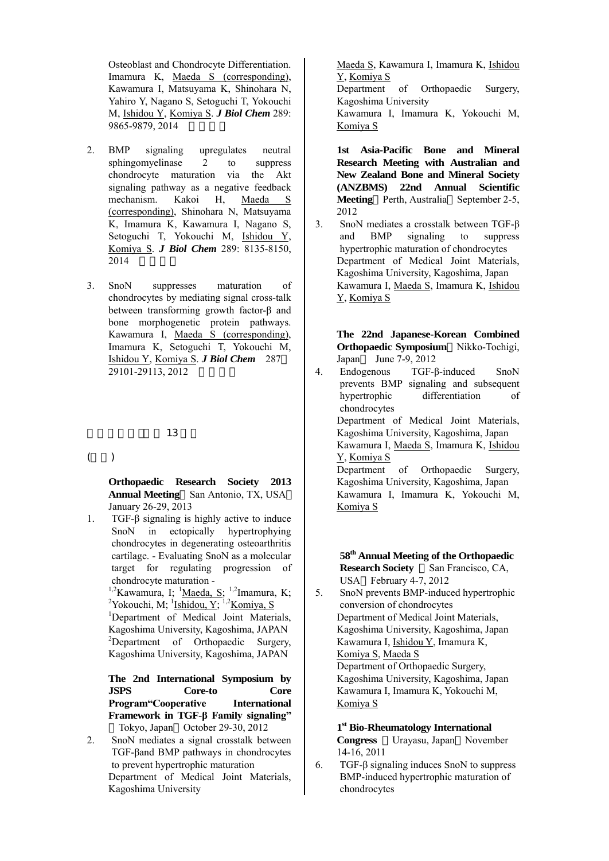Osteoblast and Chondrocyte Differentiation. Imamura K, Maeda S (corresponding), Kawamura I, Matsuyama K, Shinohara N, Yahiro Y, Nagano S, Setoguchi T, Yokouchi M, Ishidou Y, Komiya S. *J Biol Chem* 289: 9865-9879, 2014

- 2. BMP signaling upregulates neutral sphingomyelinase 2 to suppress chondrocyte maturation via the Akt signaling pathway as a negative feedback mechanism. Kakoi H, Maeda S (corresponding), Shinohara N, Matsuyama K, Imamura K, Kawamura I, Nagano S, Setoguchi T, Yokouchi M, Ishidou Y, Komiya S. *J Biol Chem* 289: 8135-8150, 2014
- 3. SnoN suppresses maturation of chondrocytes by mediating signal cross-talk between transforming growth factor-β and bone morphogenetic protein pathways. Kawamura I, Maeda S (corresponding), Imamura K, Setoguchi T, Yokouchi M, Ishidou Y, Komiya S. *J Biol Chem* 287 29101-29113, 2012

## 13

 $($   $)$ 

**Orthopaedic Research Society 2013 Annual Meeting** San Antonio, TX, USA January 26-29, 2013

1. TGF-β signaling is highly active to induce SnoN in ectopically hypertrophying chondrocytes in degenerating osteoarthritis cartilage. - Evaluating SnoN as a molecular target for regulating progression of chondrocyte maturation -

> <sup>1,2</sup>Kawamura, I; <sup>1</sup>Maeda, S; <sup>1,2</sup>Imamura, K; <sup>2</sup>Yokouchi, M;  $\frac{1}{1}$ Ishidou, Y; <sup>1,2</sup>Komiya, S

> <sup>1</sup>Department of Medical Joint Materials, Kagoshima University, Kagoshima, JAPAN <sup>2</sup>Department of Orthopaedic Surgery, Kagoshima University, Kagoshima, JAPAN

> **The 2nd International Symposium by JSPS Core-to Core Program"Cooperative International Framework in TGF-β Family signaling"** Tokyo, Japan October 29-30, 2012

2. SnoN mediates a signal crosstalk between TGF-βand BMP pathways in chondrocytes to prevent hypertrophic maturation Department of Medical Joint Materials, Kagoshima University

Maeda S, Kawamura I, Imamura K, Ishidou Y, Komiya S

Department of Orthopaedic Surgery, Kagoshima University

Kawamura I, Imamura K, Yokouchi M, Komiya S

**1st Asia-Pacific Bone and Mineral Research Meeting with Australian and New Zealand Bone and Mineral Society (ANZBMS) 22nd Annual Scientific Meeting** Perth, Australia September 2-5, 2012

3. SnoN mediates a crosstalk between TGF-β and BMP signaling to suppress hypertrophic maturation of chondrocytes Department of Medical Joint Materials, Kagoshima University, Kagoshima, Japan Kawamura I, Maeda S, Imamura K, Ishidou Y, Komiya S

> **The 22nd Japanese-Korean Combined Orthopaedic Symposium** Nikko-Tochigi, Japan June 7-9, 2012

4. Endogenous TGF-β-induced SnoN prevents BMP signaling and subsequent hypertrophic differentiation of chondrocytes Department of Medical Joint Materials, Kagoshima University, Kagoshima, Japan Kawamura I, Maeda S, Imamura K, Ishidou Y, Komiya S Department of Orthopaedic Surgery, Kagoshima University, Kagoshima, Japan Kawamura I, Imamura K, Yokouchi M, Komiya S

> **58 th Annual Meeting of the Orthopaedic Research Society** San Francisco, CA, USA February 4-7, 2012

5. SnoN prevents BMP-induced hypertrophic conversion of chondrocytes Department of Medical Joint Materials, Kagoshima University, Kagoshima, Japan Kawamura I, Ishidou Y, Imamura K, Komiya S, Maeda S Department of Orthopaedic Surgery, Kagoshima University, Kagoshima, Japan Kawamura I, Imamura K, Yokouchi M, Komiya S

**1 st Bio-Rheumatology International Congress** Urayasu, Japan November 14-16, 2011

6. TGF-β signaling induces SnoN to suppress BMP-induced hypertrophic maturation of chondrocytes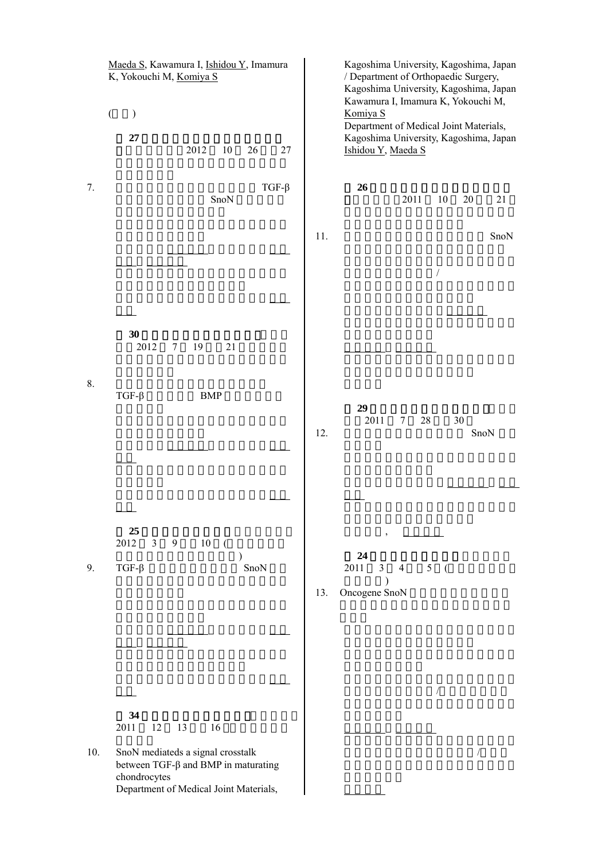